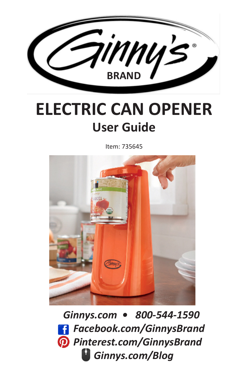

## **ELECTRIC CAN OPENER User Guide**

Item: 735645



 *Ginnys.com • 800-544-1590 Facebook.com/GinnysBrand Pinterest.com/GinnysBrand Ginnys.com/Blog*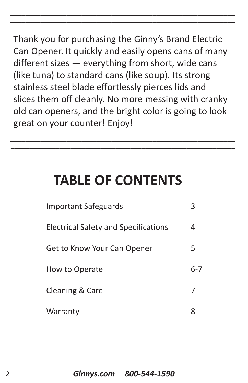Thank you for purchasing the Ginny's Brand Electric Can Opener. It quickly and easily opens cans of many different sizes — everything from short, wide cans (like tuna) to standard cans (like soup). Its strong stainless steel blade effortlessly pierces lids and slices them off cleanly. No more messing with cranky old can openers, and the bright color is going to look great on your counter! Enjoy!

**\_\_\_\_\_\_\_\_\_\_\_\_\_\_\_\_\_\_\_\_\_\_\_\_\_\_\_\_\_\_\_\_\_\_\_\_\_\_\_\_\_\_\_\_\_\_\_\_\_\_\_\_\_\_\_\_\_\_\_\_**

**\_\_\_\_\_\_\_\_\_\_\_\_\_\_\_\_\_\_\_\_\_\_\_\_\_\_\_\_\_\_\_\_\_\_\_\_\_\_\_\_\_\_\_\_\_\_\_\_\_\_\_\_\_\_\_\_\_\_\_\_**

### **TABLE OF CONTENTS**

**\_\_\_\_\_\_\_\_\_\_\_\_\_\_\_\_\_\_\_\_\_\_\_\_\_\_\_\_\_\_\_\_\_\_\_\_\_\_\_\_\_\_\_\_\_\_\_\_\_\_\_\_\_\_\_\_\_\_\_\_**

**\_\_\_\_\_\_\_\_\_\_\_\_\_\_\_\_\_\_\_\_\_\_\_\_\_\_\_\_\_\_\_\_\_\_\_\_\_\_\_\_\_\_\_\_\_\_\_\_\_\_\_\_\_\_\_\_\_\_\_\_**

| <b>Important Safeguards</b>                 |         |
|---------------------------------------------|---------|
| <b>Electrical Safety and Specifications</b> |         |
| Get to Know Your Can Opener                 | 5       |
| How to Operate                              | $6 - 7$ |
| <b>Cleaning &amp; Care</b>                  |         |
| Warranty                                    |         |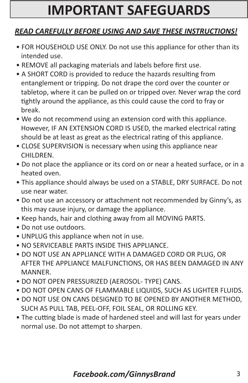### **IMPORTANT SAFEGUARDS**

#### *READ CAREFULLY BEFORE USING AND SAVE THESE INSTRUCTIONS!*

- FOR HOUSEHOLD USE ONLY. Do not use this appliance for other than its intended use.
- REMOVE all packaging materials and labels before first use.
- A SHORT CORD is provided to reduce the hazards resulting from entanglement or tripping. Do not drape the cord over the counter or tabletop, where it can be pulled on or tripped over. Never wrap the cord tightly around the appliance, as this could cause the cord to fray or break.
- We do not recommend using an extension cord with this appliance. However, IF AN EXTENSION CORD IS USED, the marked electrical rating should be at least as great as the electrical rating of this appliance.
- CLOSE SUPERVISION is necessary when using this appliance near CHILDREN.
- Do not place the appliance or its cord on or near a heated surface, or in a heated oven.
- This appliance should always be used on a STABLE, DRY SURFACE. Do not use near water.
- Do not use an accessory or attachment not recommended by Ginny's, as this may cause injury, or damage the appliance.
- Keep hands, hair and clothing away from all MOVING PARTS.
- Do not use outdoors.
- UNPLUG this appliance when not in use.
- NO SERVICEABLE PARTS INSIDE THIS APPLIANCE.
- DO NOT USE AN APPLIANCE WITH A DAMAGED CORD OR PLUG, OR AFTER THE APPLIANCE MALFUNCTIONS, OR HAS BEEN DAMAGED IN ANY MANNER.
- DO NOT OPEN PRESSURIZED (AEROSOL- TYPE) CANS.
- DO NOT OPEN CANS OF FLAMMABLE LIQUIDS, SUCH AS LIGHTER FLUIDS.
- DO NOT USE ON CANS DESIGNED TO BE OPENED BY ANOTHER METHOD, SUCH AS PULL TAB, PEEL-OFF, FOIL SEAL, OR ROLLING KEY.
- The cutting blade is made of hardened steel and will last for years under normal use. Do not attempt to sharpen.

### *Facebook.com/GinnysBrand* 3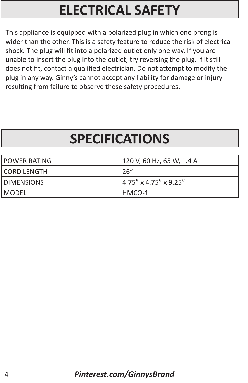## **ELECTRICAL SAFETY**

This appliance is equipped with a polarized plug in which one prong is wider than the other. This is a safety feature to reduce the risk of electrical shock. The plug will fit into a polarized outlet only one way. If you are unable to insert the plug into the outlet, try reversing the plug. If it still does not fit, contact a qualified electrician. Do not attempt to modify the plug in any way. Ginny's cannot accept any liability for damage or injury resulting from failure to observe these safety procedures.

## **SPECIFICATIONS**

| l POWER RATING | 120 V, 60 Hz, 65 W, 1.4 A |
|----------------|---------------------------|
| l CORD LENGTH  | 26''                      |
| I DIMENSIONS   | 4.75" x 4.75" x 9.25"     |
| MODEL          | HMCO-1                    |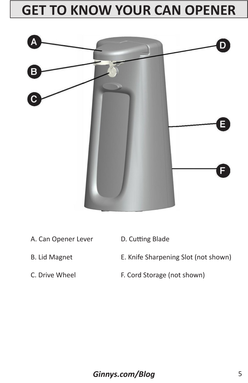### **GET TO KNOW YOUR CAN OPENER**



- A. Can Opener Lever D. Cutting Blade
- 
- 
- 
- B. Lid Magnet **E. Knife Sharpening Slot (not shown)**
- C. Drive Wheel F. Cord Storage (not shown)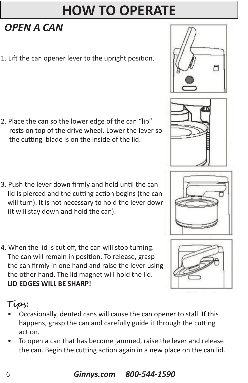### **HOW TO OPERATE**

### *OPEN A CAN*

1. Lift the can opener lever to the upright position.

- 2. Place the can so the lower edge of the can "lip" rests on top of the drive wheel. Lower the lever so the cutting blade is on the inside of the lid.
- 3. Push the lever down firmly and hold until the can lid is pierced and the cutting action begins (the can will turn). It is not necessary to hold the lever down (it will stay down and hold the can).
- 4. When the lid is cut off, the can will stop turning. The can will remain in position. To release, grasp the can firmly in one hand and raise the lever using the other hand. The lid magnet will hold the lid. **LID EDGES WILL BE SHARP!**

### **Tips:**

- Occasionally, dented cans will cause the can opener to stall. If this happens, grasp the can and carefully guide it through the cutting action.
- To open a can that has become jammed, raise the lever and release the can. Begin the cutting action again in a new place on the can lid.







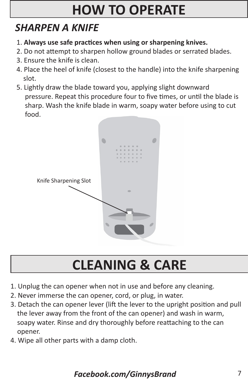# **HOW TO OPERATE**

### *SHARPEN A KNIFE*

- 1. **Always use safe practices when using or sharpening knives.**
- 2. Do not attempt to sharpen hollow ground blades or serrated blades.
- 3. Ensure the knife is clean.
- 4. Place the heel of knife (closest to the handle) into the knife sharpening slot.
- 5. Lightly draw the blade toward you, applying slight downward pressure. Repeat this procedure four to five times, or until the blade is sharp. Wash the knife blade in warm, soapy water before using to cut food.



# **CLEANING & CARE**

- 1. Unplug the can opener when not in use and before any cleaning.
- 2. Never immerse the can opener, cord, or plug, in water.
- 3. Detach the can opener lever (lift the lever to the upright position and pull the lever away from the front of the can opener) and wash in warm, soapy water. Rinse and dry thoroughly before reattaching to the can opener.
- 4. Wipe all other parts with a damp cloth.

### *Facebook.com/GinnysBrand* 7